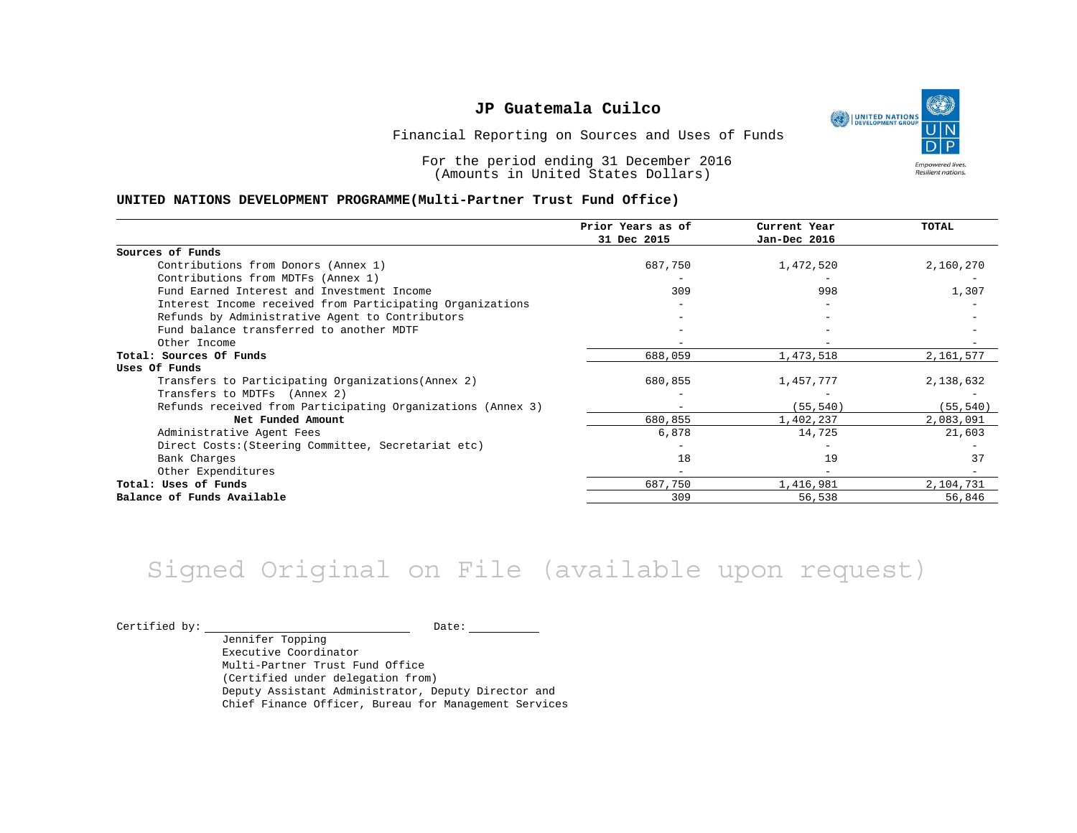١ UNITED NATIONS **Empowered lives** Resilient nations.

Financial Reporting on Sources and Uses of Funds

For the period ending 31 December 2016 (Amounts in United States Dollars)

#### **UNITED NATIONS DEVELOPMENT PROGRAMME(Multi-Partner Trust Fund Office)**

|                                                             | Prior Years as of        | Current Year | <b>TOTAL</b> |
|-------------------------------------------------------------|--------------------------|--------------|--------------|
|                                                             | 31 Dec 2015              | Jan-Dec 2016 |              |
| Sources of Funds                                            |                          |              |              |
| Contributions from Donors (Annex 1)                         | 687,750                  | 1,472,520    | 2,160,270    |
| Contributions from MDTFs (Annex 1)                          |                          |              |              |
| Fund Earned Interest and Investment Income                  | 309                      | 998          | 1,307        |
| Interest Income received from Participating Organizations   |                          |              |              |
| Refunds by Administrative Agent to Contributors             |                          |              |              |
| Fund balance transferred to another MDTF                    |                          |              |              |
| Other Income                                                |                          |              |              |
| Total: Sources Of Funds                                     | 688,059                  | 1,473,518    | 2,161,577    |
| Uses Of Funds                                               |                          |              |              |
| Transfers to Participating Organizations (Annex 2)          | 680,855                  | 1,457,777    | 2,138,632    |
| Transfers to MDTFs (Annex 2)                                |                          |              |              |
| Refunds received from Participating Organizations (Annex 3) | $\overline{\phantom{0}}$ | (55, 540)    | (55, 540)    |
| Net Funded Amount                                           | 680,855                  | 1,402,237    | 2,083,091    |
| Administrative Agent Fees                                   | 6,878                    | 14,725       | 21,603       |
| Direct Costs: (Steering Committee, Secretariat etc)         |                          |              |              |
| Bank Charges                                                | 18                       | 19           | 37           |
| Other Expenditures                                          |                          |              |              |
| Total: Uses of Funds                                        | 687,750                  | 1,416,981    | 2,104,731    |
| Balance of Funds Available                                  | 309                      | 56,538       | 56,846       |

## Signed Original on File (available upon request)

Certified by: Date:

Jennifer Topping Executive Coordinator Multi-Partner Trust Fund Office (Certified under delegation from) Deputy Assistant Administrator, Deputy Director and Chief Finance Officer, Bureau for Management Services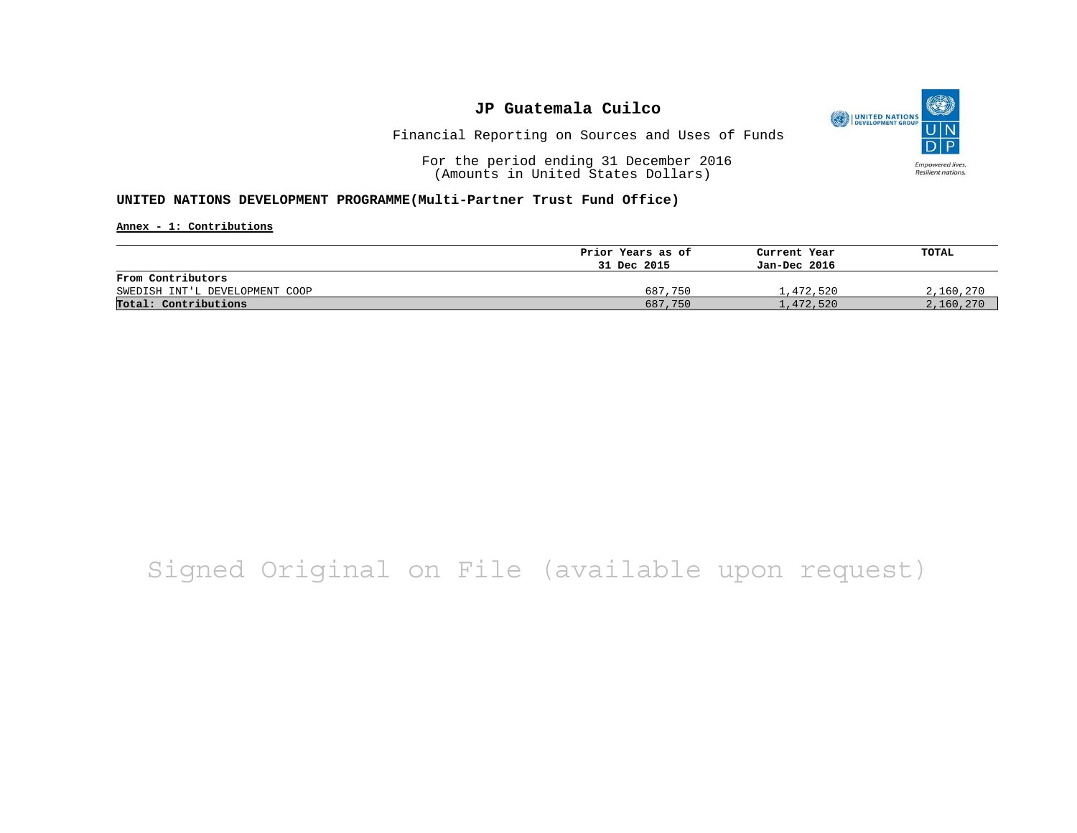

Financial Reporting on Sources and Uses of Funds

For the period ending 31 December 2016 (Amounts in United States Dollars)

#### **UNITED NATIONS DEVELOPMENT PROGRAMME(Multi-Partner Trust Fund Office)**

**Annex - 1: Contributions**

|                                | Prior Years as of | Current Year | TOTAL     |
|--------------------------------|-------------------|--------------|-----------|
|                                | 31 Dec 2015       | Jan-Dec 2016 |           |
| From Contributors              |                   |              |           |
| SWEDISH INT'L DEVELOPMENT COOP | 687,750           | 1,472,520    | 2,160,270 |
| Total: Contributions           | 687,750           | 1,472,520    | 2,160,270 |

## Signed Original on File (available upon request)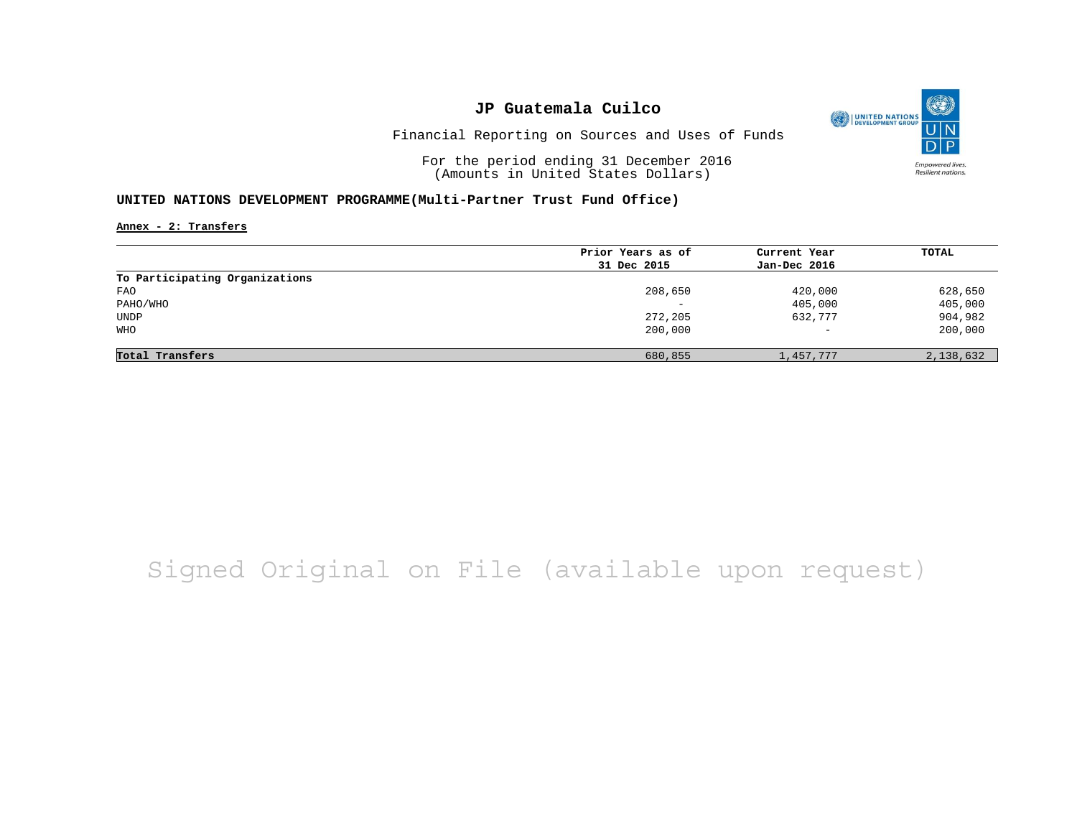

Financial Reporting on Sources and Uses of Funds

For the period ending 31 December 2016 (Amounts in United States Dollars)

#### **UNITED NATIONS DEVELOPMENT PROGRAMME(Multi-Partner Trust Fund Office)**

**Annex - 2: Transfers**

|                                | Prior Years as of | Current Year      | <b>TOTAL</b> |
|--------------------------------|-------------------|-------------------|--------------|
|                                | 31 Dec 2015       | Jan-Dec 2016      |              |
| To Participating Organizations |                   |                   |              |
| <b>FAO</b>                     | 208,650           | 420,000           | 628,650      |
| PAHO/WHO                       | -                 | 405,000           | 405,000      |
| UNDP                           | 272,205           | 632,777           | 904,982      |
| <b>WHO</b>                     | 200,000           | $\qquad \qquad -$ | 200,000      |
|                                |                   |                   |              |
| Total Transfers                | 680,855           | 1,457,777         | 2,138,632    |

## Signed Original on File (available upon request)